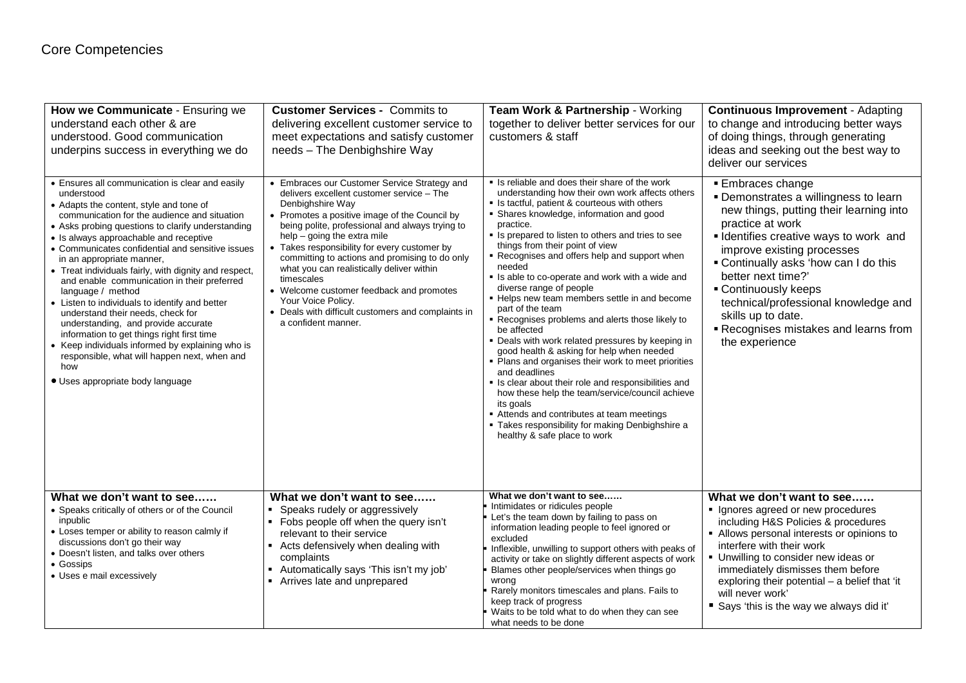| How we Communicate - Ensuring we<br>understand each other & are<br>understood. Good communication<br>underpins success in everything we do                                                                                                                                                                                                                                                                                                                                                                                                                                                                                                                                                                                                                                                       | <b>Customer Services - Commits to</b><br>delivering excellent customer service to<br>meet expectations and satisfy customer<br>needs - The Denbighshire Way                                                                                                                                                                                                                                                                                                                                                                                                    | Team Work & Partnership - Working<br>together to deliver better services for our<br>customers & staff                                                                                                                                                                                                                                                                                                                                                                                                                                                                                                                                                                                                                                                                                                                                                                                                                                                                                                              | <b>Continuous Improvement - Adapting</b><br>to change and introducing better ways<br>of doing things, through generating<br>ideas and seeking out the best way to<br>deliver our services                                                                                                                                                                                                                            |
|--------------------------------------------------------------------------------------------------------------------------------------------------------------------------------------------------------------------------------------------------------------------------------------------------------------------------------------------------------------------------------------------------------------------------------------------------------------------------------------------------------------------------------------------------------------------------------------------------------------------------------------------------------------------------------------------------------------------------------------------------------------------------------------------------|----------------------------------------------------------------------------------------------------------------------------------------------------------------------------------------------------------------------------------------------------------------------------------------------------------------------------------------------------------------------------------------------------------------------------------------------------------------------------------------------------------------------------------------------------------------|--------------------------------------------------------------------------------------------------------------------------------------------------------------------------------------------------------------------------------------------------------------------------------------------------------------------------------------------------------------------------------------------------------------------------------------------------------------------------------------------------------------------------------------------------------------------------------------------------------------------------------------------------------------------------------------------------------------------------------------------------------------------------------------------------------------------------------------------------------------------------------------------------------------------------------------------------------------------------------------------------------------------|----------------------------------------------------------------------------------------------------------------------------------------------------------------------------------------------------------------------------------------------------------------------------------------------------------------------------------------------------------------------------------------------------------------------|
| • Ensures all communication is clear and easily<br>understood<br>• Adapts the content, style and tone of<br>communication for the audience and situation<br>• Asks probing questions to clarify understanding<br>• Is always approachable and receptive<br>• Communicates confidential and sensitive issues<br>in an appropriate manner,<br>• Treat individuals fairly, with dignity and respect,<br>and enable communication in their preferred<br>language / method<br>• Listen to individuals to identify and better<br>understand their needs, check for<br>understanding, and provide accurate<br>information to get things right first time<br>• Keep individuals informed by explaining who is<br>responsible, what will happen next, when and<br>how<br>• Uses appropriate body language | • Embraces our Customer Service Strategy and<br>delivers excellent customer service - The<br>Denbighshire Way<br>• Promotes a positive image of the Council by<br>being polite, professional and always trying to<br>$help - going the extra mile$<br>• Takes responsibility for every customer by<br>committing to actions and promising to do only<br>what you can realistically deliver within<br>timescales<br>• Welcome customer feedback and promotes<br>Your Voice Policy.<br>• Deals with difficult customers and complaints in<br>a confident manner. | • Is reliable and does their share of the work<br>understanding how their own work affects others<br>• Is tactful, patient & courteous with others<br>· Shares knowledge, information and good<br>practice.<br>• Is prepared to listen to others and tries to see<br>things from their point of view<br>Recognises and offers help and support when<br>needed<br>. Is able to co-operate and work with a wide and<br>diverse range of people<br>- Helps new team members settle in and become<br>part of the team<br>Recognises problems and alerts those likely to<br>be affected<br>. Deals with work related pressures by keeping in<br>good health & asking for help when needed<br>• Plans and organises their work to meet priorities<br>and deadlines<br>Is clear about their role and responsibilities and<br>how these help the team/service/council achieve<br>its goals<br>Attends and contributes at team meetings<br>" Takes responsibility for making Denbighshire a<br>healthy & safe place to work | <b>Embraces change</b><br>• Demonstrates a willingness to learn<br>new things, putting their learning into<br>practice at work<br>• Identifies creative ways to work and<br>improve existing processes<br>• Continually asks 'how can I do this<br>better next time?'<br>■ Continuously keeps<br>technical/professional knowledge and<br>skills up to date.<br>Recognises mistakes and learns from<br>the experience |
| What we don't want to see<br>• Speaks critically of others or of the Council<br>inpublic<br>• Loses temper or ability to reason calmly if<br>discussions don't go their way<br>• Doesn't listen, and talks over others<br>• Gossips<br>• Uses e mail excessively                                                                                                                                                                                                                                                                                                                                                                                                                                                                                                                                 | What we don't want to see<br>Speaks rudely or aggressively<br>• Fobs people off when the query isn't<br>relevant to their service<br>• Acts defensively when dealing with<br>complaints<br>Automatically says 'This isn't my job'<br>• Arrives late and unprepared                                                                                                                                                                                                                                                                                             | What we don't want to see<br>Intimidates or ridicules people<br>Let's the team down by failing to pass on<br>information leading people to feel ignored or<br>excluded<br>Inflexible, unwilling to support others with peaks of<br>activity or take on slightly different aspects of work<br>Blames other people/services when things go<br>wrong<br>Rarely monitors timescales and plans. Fails to<br>keep track of progress<br>Waits to be told what to do when they can see<br>what needs to be done                                                                                                                                                                                                                                                                                                                                                                                                                                                                                                            | What we don't want to see<br>• Ignores agreed or new procedures<br>including H&S Policies & procedures<br>• Allows personal interests or opinions to<br>interfere with their work<br>• Unwilling to consider new ideas or<br>immediately dismisses them before<br>exploring their potential - a belief that 'it<br>will never work'<br>Says 'this is the way we always did it'                                       |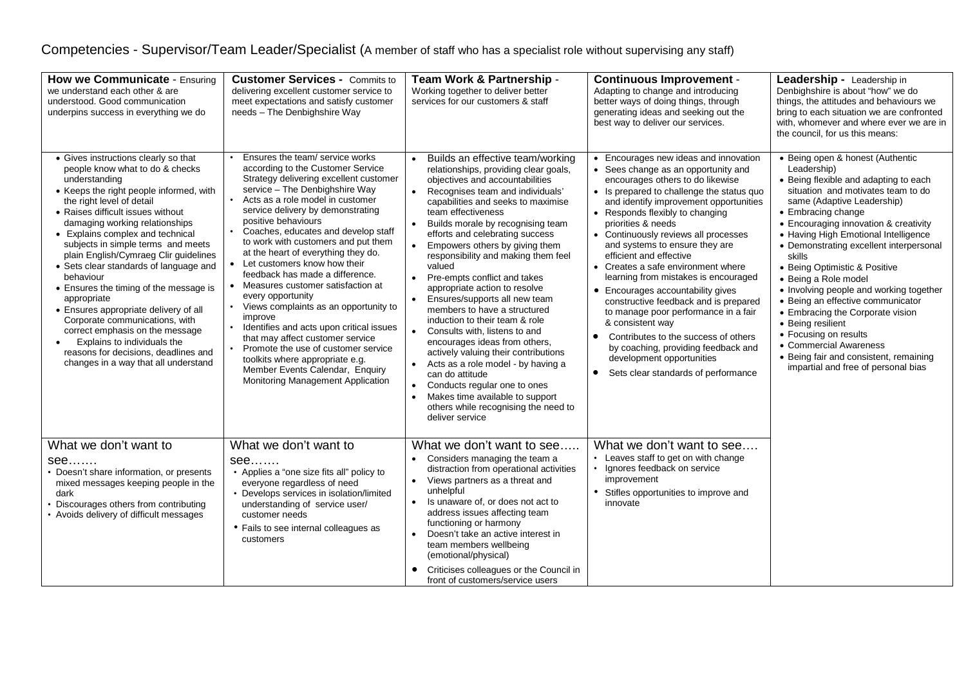## Competencies - Supervisor/Team Leader/Specialist (A member of staff who has a specialist role without supervising any staff)

| How we Communicate - Ensuring<br>we understand each other & are<br>understood. Good communication<br>underpins success in everything we do                                                                                                                                                                                                                                                                                                                                                                                                                                                                                                                                                              | <b>Customer Services - Commits to</b><br>delivering excellent customer service to<br>meet expectations and satisfy customer<br>needs - The Denbighshire Way                                                                                                                                                                                                                                                                                                                                                                                                                                                                                                                                                                                                                                                        | Team Work & Partnership -<br>Working together to deliver better<br>services for our customers & staff                                                                                                                                                                                                                                                                                                                                                                                                                                                                                                                                                                                                                                                                                                                                                                                                                                                             | <b>Continuous Improvement -</b><br>Adapting to change and introducing<br>better ways of doing things, through<br>generating ideas and seeking out the<br>best way to deliver our services.                                                                                                                                                                                                                                                                                                                                                                                                                                                                                                                                                                  | <b>Leadership -</b> Leadership in<br>Denbighshire is about "how" we do<br>things, the attitudes and behaviours we<br>bring to each situation we are confronted<br>with, whomever and where ever we are in<br>the council, for us this means:                                                                                                                                                                                                                                                                                                                                                                                                                   |
|---------------------------------------------------------------------------------------------------------------------------------------------------------------------------------------------------------------------------------------------------------------------------------------------------------------------------------------------------------------------------------------------------------------------------------------------------------------------------------------------------------------------------------------------------------------------------------------------------------------------------------------------------------------------------------------------------------|--------------------------------------------------------------------------------------------------------------------------------------------------------------------------------------------------------------------------------------------------------------------------------------------------------------------------------------------------------------------------------------------------------------------------------------------------------------------------------------------------------------------------------------------------------------------------------------------------------------------------------------------------------------------------------------------------------------------------------------------------------------------------------------------------------------------|-------------------------------------------------------------------------------------------------------------------------------------------------------------------------------------------------------------------------------------------------------------------------------------------------------------------------------------------------------------------------------------------------------------------------------------------------------------------------------------------------------------------------------------------------------------------------------------------------------------------------------------------------------------------------------------------------------------------------------------------------------------------------------------------------------------------------------------------------------------------------------------------------------------------------------------------------------------------|-------------------------------------------------------------------------------------------------------------------------------------------------------------------------------------------------------------------------------------------------------------------------------------------------------------------------------------------------------------------------------------------------------------------------------------------------------------------------------------------------------------------------------------------------------------------------------------------------------------------------------------------------------------------------------------------------------------------------------------------------------------|----------------------------------------------------------------------------------------------------------------------------------------------------------------------------------------------------------------------------------------------------------------------------------------------------------------------------------------------------------------------------------------------------------------------------------------------------------------------------------------------------------------------------------------------------------------------------------------------------------------------------------------------------------------|
| • Gives instructions clearly so that<br>people know what to do & checks<br>understanding<br>• Keeps the right people informed, with<br>the right level of detail<br>• Raises difficult issues without<br>damaging working relationships<br>• Explains complex and technical<br>subjects in simple terms and meets<br>plain English/Cymraeg Clir guidelines<br>• Sets clear standards of language and<br>behaviour<br>• Ensures the timing of the message is<br>appropriate<br>• Ensures appropriate delivery of all<br>Corporate communications, with<br>correct emphasis on the message<br>Explains to individuals the<br>reasons for decisions, deadlines and<br>changes in a way that all understand | Ensures the team/ service works<br>according to the Customer Service<br>Strategy delivering excellent customer<br>service - The Denbighshire Way<br>Acts as a role model in customer<br>$\bullet$<br>service delivery by demonstrating<br>positive behaviours<br>Coaches, educates and develop staff<br>to work with customers and put them<br>at the heart of everything they do.<br>Let customers know how their<br>feedback has made a difference.<br>Measures customer satisfaction at<br>every opportunity<br>Views complaints as an opportunity to<br>$\bullet$<br>improve<br>Identifies and acts upon critical issues<br>that may affect customer service<br>Promote the use of customer service<br>toolkits where appropriate e.g.<br>Member Events Calendar, Enquiry<br>Monitoring Management Application | Builds an effective team/working<br>$\bullet$<br>relationships, providing clear goals,<br>objectives and accountabilities<br>Recognises team and individuals'<br>$\bullet$<br>capabilities and seeks to maximise<br>team effectiveness<br>Builds morale by recognising team<br>$\bullet$<br>efforts and celebrating success<br>Empowers others by giving them<br>$\bullet$<br>responsibility and making them feel<br>valued<br>Pre-empts conflict and takes<br>$\bullet$<br>appropriate action to resolve<br>Ensures/supports all new team<br>$\bullet$<br>members to have a structured<br>induction to their team & role<br>Consults with, listens to and<br>$\bullet$<br>encourages ideas from others,<br>actively valuing their contributions<br>Acts as a role model - by having a<br>can do attitude<br>Conducts regular one to ones<br>$\bullet$<br>Makes time available to support<br>$\bullet$<br>others while recognising the need to<br>deliver service | Encourages new ideas and innovation<br>• Sees change as an opportunity and<br>encourages others to do likewise<br>• Is prepared to challenge the status quo<br>and identify improvement opportunities<br>• Responds flexibly to changing<br>priorities & needs<br>• Continuously reviews all processes<br>and systems to ensure they are<br>efficient and effective<br>• Creates a safe environment where<br>learning from mistakes is encouraged<br>• Encourages accountability gives<br>constructive feedback and is prepared<br>to manage poor performance in a fair<br>& consistent way<br>Contributes to the success of others<br>$\bullet$<br>by coaching, providing feedback and<br>development opportunities<br>Sets clear standards of performance | • Being open & honest (Authentic<br>Leadership)<br>• Being flexible and adapting to each<br>situation and motivates team to do<br>same (Adaptive Leadership)<br>• Embracing change<br>• Encouraging innovation & creativity<br>• Having High Emotional Intelligence<br>• Demonstrating excellent interpersonal<br>skills<br>• Being Optimistic & Positive<br>• Being a Role model<br>• Involving people and working together<br>• Being an effective communicator<br>• Embracing the Corporate vision<br>• Being resilient<br>• Focusing on results<br>• Commercial Awareness<br>• Being fair and consistent, remaining<br>impartial and free of personal bias |
| What we don't want to<br>see<br>• Doesn't share information, or presents<br>mixed messages keeping people in the<br>dark<br>Discourages others from contributing<br>• Avoids delivery of difficult messages                                                                                                                                                                                                                                                                                                                                                                                                                                                                                             | What we don't want to<br>see<br>• Applies a "one size fits all" policy to<br>everyone regardless of need<br>• Develops services in isolation/limited<br>understanding of service user/<br>customer needs<br>• Fails to see internal colleagues as<br>customers                                                                                                                                                                                                                                                                                                                                                                                                                                                                                                                                                     | What we don't want to see<br>• Considers managing the team a<br>distraction from operational activities<br>• Views partners as a threat and<br>unhelpful<br>Is unaware of, or does not act to<br>address issues affecting team<br>functioning or harmony<br>Doesn't take an active interest in<br>$\bullet$<br>team members wellbeing<br>(emotional/physical)<br>Criticises colleagues or the Council in<br>front of customers/service users                                                                                                                                                                                                                                                                                                                                                                                                                                                                                                                      | What we don't want to see<br>Leaves staff to get on with change<br>Ignores feedback on service<br>improvement<br>Stifles opportunities to improve and<br>innovate                                                                                                                                                                                                                                                                                                                                                                                                                                                                                                                                                                                           |                                                                                                                                                                                                                                                                                                                                                                                                                                                                                                                                                                                                                                                                |